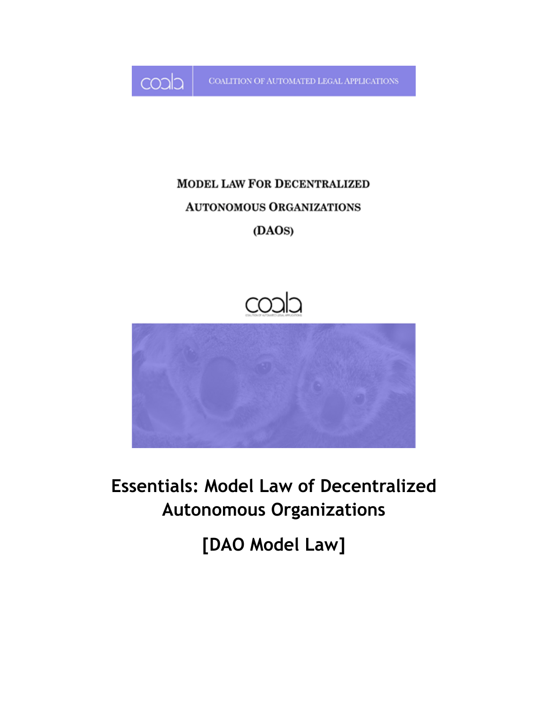

COALITION OF AUTOMATED LEGAL APPLICATIONS

# **MODEL LAW FOR DECENTRALIZED AUTONOMOUS ORGANIZATIONS** (DAOS)





**Essentials: Model Law of Decentralized Autonomous Organizations**

**[DAO Model Law]**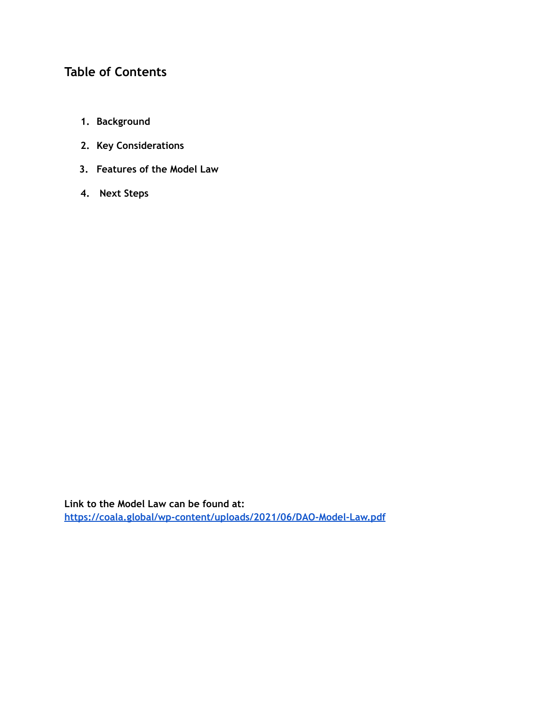## **Table of Contents**

- **1. Background**
- **2. Key Considerations**
- **3. Features of the Model Law**
- **4. Next Steps**

**Link to the Model Law can be found at: <https://coala.global/wp-content/uploads/2021/06/DAO-Model-Law.pdf>**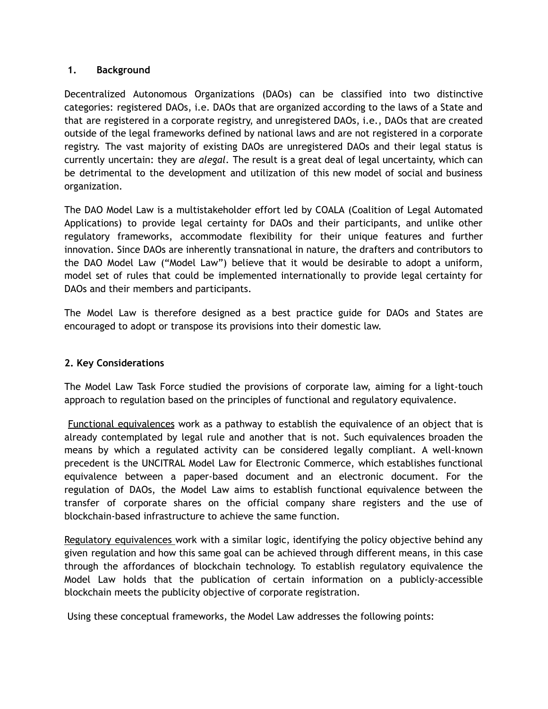#### **1. Background**

Decentralized Autonomous Organizations (DAOs) can be classified into two distinctive categories: registered DAOs, i.e. DAOs that are organized according to the laws of a State and that are registered in a corporate registry, and unregistered DAOs, i.e., DAOs that are created outside of the legal frameworks defined by national laws and are not registered in a corporate registry. The vast majority of existing DAOs are unregistered DAOs and their legal status is currently uncertain: they are *alegal*. The result is a great deal of legal uncertainty, which can be detrimental to the development and utilization of this new model of social and business organization.

The DAO Model Law is a multistakeholder effort led by COALA (Coalition of Legal Automated Applications) to provide legal certainty for DAOs and their participants, and unlike other regulatory frameworks, accommodate flexibility for their unique features and further innovation. Since DAOs are inherently transnational in nature, the drafters and contributors to the DAO Model Law ("Model Law") believe that it would be desirable to adopt a uniform, model set of rules that could be implemented internationally to provide legal certainty for DAOs and their members and participants.

The Model Law is therefore designed as a best practice guide for DAOs and States are encouraged to adopt or transpose its provisions into their domestic law.

### **2. Key Considerations**

The Model Law Task Force studied the provisions of corporate law, aiming for a light-touch approach to regulation based on the principles of functional and regulatory equivalence.

Functional equivalences work as a pathway to establish the equivalence of an object that is already contemplated by legal rule and another that is not. Such equivalences broaden the means by which a regulated activity can be considered legally compliant. A well-known precedent is the UNCITRAL Model Law for Electronic Commerce, which establishes functional equivalence between a paper-based document and an electronic document. For the regulation of DAOs, the Model Law aims to establish functional equivalence between the transfer of corporate shares on the official company share registers and the use of blockchain-based infrastructure to achieve the same function.

Regulatory equivalences work with a similar logic, identifying the policy objective behind any given regulation and how this same goal can be achieved through different means, in this case through the affordances of blockchain technology. To establish regulatory equivalence the Model Law holds that the publication of certain information on a publicly-accessible blockchain meets the publicity objective of corporate registration.

Using these conceptual frameworks, the Model Law addresses the following points: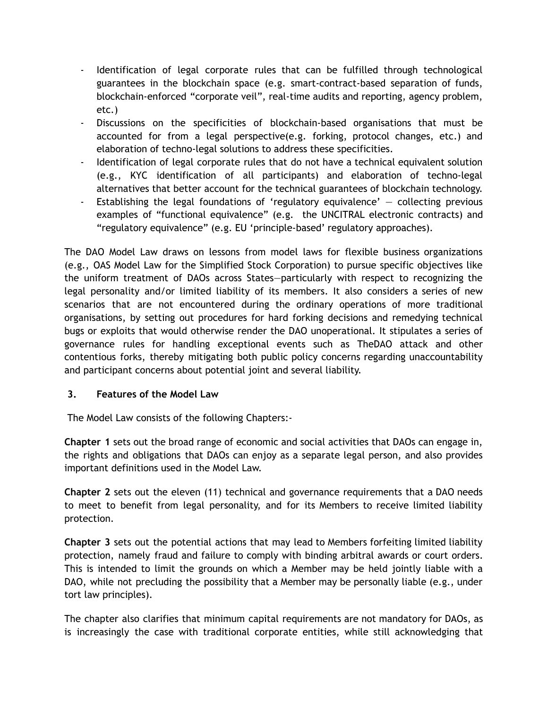- Identification of legal corporate rules that can be fulfilled through technological guarantees in the blockchain space (e.g. smart-contract-based separation of funds, blockchain-enforced "corporate veil", real-time audits and reporting, agency problem, etc.)
- Discussions on the specificities of blockchain-based organisations that must be accounted for from a legal perspective(e.g. forking, protocol changes, etc.) and elaboration of techno-legal solutions to address these specificities.
- Identification of legal corporate rules that do not have a technical equivalent solution (e.g., KYC identification of all participants) and elaboration of techno-legal alternatives that better account for the technical guarantees of blockchain technology.
- Establishing the legal foundations of 'regulatory equivalence'  $-$  collecting previous examples of "functional equivalence" (e.g. the UNCITRAL electronic contracts) and "regulatory equivalence" (e.g. EU 'principle-based' regulatory approaches).

The DAO Model Law draws on lessons from model laws for flexible business organizations (e.g., OAS Model Law for the Simplified Stock Corporation) to pursue specific objectives like the uniform treatment of DAOs across States—particularly with respect to recognizing the legal personality and/or limited liability of its members. It also considers a series of new scenarios that are not encountered during the ordinary operations of more traditional organisations, by setting out procedures for hard forking decisions and remedying technical bugs or exploits that would otherwise render the DAO unoperational. It stipulates a series of governance rules for handling exceptional events such as TheDAO attack and other contentious forks, thereby mitigating both public policy concerns regarding unaccountability and participant concerns about potential joint and several liability.

### **3. Features of the Model Law**

The Model Law consists of the following Chapters:-

**Chapter 1** sets out the broad range of economic and social activities that DAOs can engage in, the rights and obligations that DAOs can enjoy as a separate legal person, and also provides important definitions used in the Model Law.

**Chapter 2** sets out the eleven (11) technical and governance requirements that a DAO needs to meet to benefit from legal personality, and for its Members to receive limited liability protection.

**Chapter 3** sets out the potential actions that may lead to Members forfeiting limited liability protection, namely fraud and failure to comply with binding arbitral awards or court orders. This is intended to limit the grounds on which a Member may be held jointly liable with a DAO, while not precluding the possibility that a Member may be personally liable (e.g., under tort law principles).

The chapter also clarifies that minimum capital requirements are not mandatory for DAOs, as is increasingly the case with traditional corporate entities, while still acknowledging that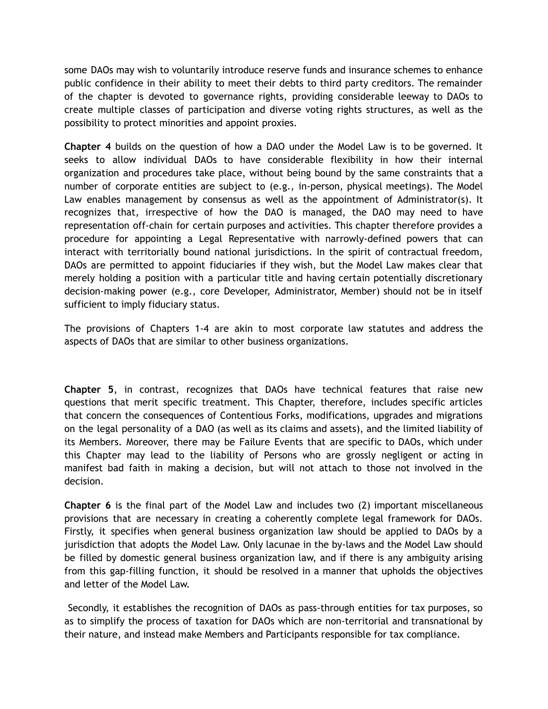some DAOs may wish to voluntarily introduce reserve funds and insurance schemes to enhance public confidence in their ability to meet their debts to third party creditors. The remainder of the chapter is devoted to governance rights, providing considerable leeway to DAOs to create multiple classes of participation and diverse voting rights structures, as well as the possibility to protect minorities and appoint proxies.

**Chapter 4** builds on the question of how a DAO under the Model Law is to be governed. It seeks to allow individual DAOs to have considerable flexibility in how their internal organization and procedures take place, without being bound by the same constraints that a number of corporate entities are subject to (e.g., in-person, physical meetings). The Model Law enables management by consensus as well as the appointment of Administrator(s). It recognizes that, irrespective of how the DAO is managed, the DAO may need to have representation off-chain for certain purposes and activities. This chapter therefore provides a procedure for appointing a Legal Representative with narrowly-defined powers that can interact with territorially bound national jurisdictions. In the spirit of contractual freedom, DAOs are permitted to appoint fiduciaries if they wish, but the Model Law makes clear that merely holding a position with a particular title and having certain potentially discretionary decision-making power (e.g., core Developer, Administrator, Member) should not be in itself sufficient to imply fiduciary status.

The provisions of Chapters 1-4 are akin to most corporate law statutes and address the aspects of DAOs that are similar to other business organizations.

**Chapter 5**, in contrast, recognizes that DAOs have technical features that raise new questions that merit specific treatment. This Chapter, therefore, includes specific articles that concern the consequences of Contentious Forks, modifications, upgrades and migrations on the legal personality of a DAO (as well as its claims and assets), and the limited liability of its Members. Moreover, there may be Failure Events that are specific to DAOs, which under this Chapter may lead to the liability of Persons who are grossly negligent or acting in manifest bad faith in making a decision, but will not attach to those not involved in the decision.

**Chapter 6** is the final part of the Model Law and includes two (2) important miscellaneous provisions that are necessary in creating a coherently complete legal framework for DAOs. Firstly, it specifies when general business organization law should be applied to DAOs by a jurisdiction that adopts the Model Law. Only lacunae in the by-laws and the Model Law should be filled by domestic general business organization law, and if there is any ambiguity arising from this gap-filling function, it should be resolved in a manner that upholds the objectives and letter of the Model Law.

Secondly, it establishes the recognition of DAOs as pass-through entities for tax purposes, so as to simplify the process of taxation for DAOs which are non-territorial and transnational by their nature, and instead make Members and Participants responsible for tax compliance.